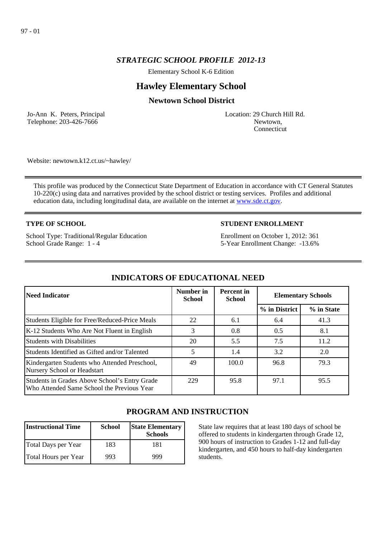# *STRATEGIC SCHOOL PROFILE 2012-13*

Elementary School K-6 Edition

# **Hawley Elementary School**

## **Newtown School District**

Jo-Ann K. Peters, Principal Telephone: 203-426-7666

Location: 29 Church Hill Rd. Newtown, Connecticut

Website: newtown.k12.ct.us/~hawley/

This profile was produced by the Connecticut State Department of Education in accordance with CT General Statutes 10-220(c) using data and narratives provided by the school district or testing services. Profiles and additional education data, including longitudinal data, are available on the internet at [www.sde.ct.gov](http://www.sde.ct.gov/).

### **TYPE OF SCHOOL**

School Type: Traditional/Regular Education School Grade Range: 1 - 4

## **STUDENT ENROLLMENT**

Enrollment on October 1, 2012: 361 5-Year Enrollment Change: -13.6%

| Need Indicator                                                                              | Number in<br><b>School</b> | <b>Percent</b> in<br><b>School</b> | <b>Elementary Schools</b> |            |
|---------------------------------------------------------------------------------------------|----------------------------|------------------------------------|---------------------------|------------|
|                                                                                             |                            |                                    | % in District             | % in State |
| Students Eligible for Free/Reduced-Price Meals                                              | 22                         | 6.1                                | 6.4                       | 41.3       |
| K-12 Students Who Are Not Fluent in English                                                 | 3                          | 0.8                                | 0.5                       | 8.1        |
| Students with Disabilities                                                                  | 20                         | 5.5                                | 7.5                       | 11.2       |
| Students Identified as Gifted and/or Talented                                               | 5                          | 1.4                                | 3.2                       | 2.0        |
| Kindergarten Students who Attended Preschool,<br>Nursery School or Headstart                | 49                         | 100.0                              | 96.8                      | 79.3       |
| Students in Grades Above School's Entry Grade<br>Who Attended Same School the Previous Year | 229                        | 95.8                               | 97.1                      | 95.5       |

# **INDICATORS OF EDUCATIONAL NEED**

# **PROGRAM AND INSTRUCTION**

| <b>Instructional Time</b> | <b>School</b> | <b>State Elementary</b><br><b>Schools</b> |
|---------------------------|---------------|-------------------------------------------|
| Total Days per Year       | 183           | 181                                       |
| Total Hours per Year      | 993           | 999                                       |

State law requires that at least 180 days of school be offered to students in kindergarten through Grade 12, 900 hours of instruction to Grades 1-12 and full-day kindergarten, and 450 hours to half-day kindergarten students.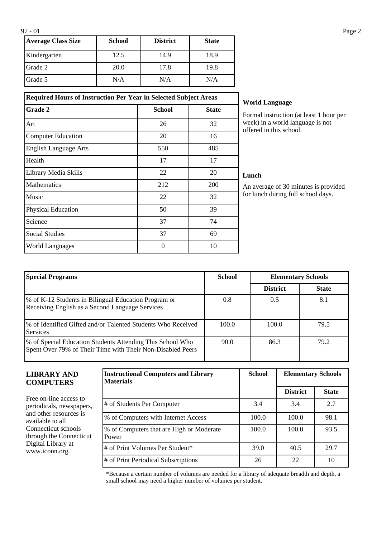| <b>Average Class Size</b> | <b>School</b> | <b>District</b> | <b>State</b> |
|---------------------------|---------------|-----------------|--------------|
| Kindergarten              | 12.5          | 14.9            | 18.9         |
| Grade 2                   | 20.0          | 17.8            | 19.8         |
| Grade 5                   | N/A           | N/A             | N/A          |

## **Required Hours of Instruction Per Year in Selected Subject Areas**

| <b>Grade 2</b>               | <b>School</b> | <b>State</b> |
|------------------------------|---------------|--------------|
| Art                          | 26            | 32           |
| <b>Computer Education</b>    | 20            | 16           |
| <b>English Language Arts</b> | 550           | 485          |
| Health                       | 17            | 17           |
| Library Media Skills         | 22            | 20           |
| <b>Mathematics</b>           | 212           | 200          |
| Music                        | 22            | 32           |
| <b>Physical Education</b>    | 50            | 39           |
| Science                      | 37            | 74           |
| <b>Social Studies</b>        | 37            | 69           |
| <b>World Languages</b>       | $\theta$      | 10           |

### **World Language**

Formal instruction (at least 1 hour per week) in a world language is not offered in this school.

### **Lunch**

An average of 30 minutes is provided for lunch during full school days.

| <b>Special Programs</b>                                                                                                  | <b>School</b> | <b>Elementary Schools</b> |              |
|--------------------------------------------------------------------------------------------------------------------------|---------------|---------------------------|--------------|
|                                                                                                                          |               | <b>District</b>           | <b>State</b> |
| \% of K-12 Students in Bilingual Education Program or<br>Receiving English as a Second Language Services                 | 0.8           | 0.5                       | 8.1          |
| 1% of Identified Gifted and/or Talented Students Who Received<br><b>Services</b>                                         | 100.0         | 100.0                     | 79.5         |
| \% of Special Education Students Attending This School Who<br>Spent Over 79% of Their Time with Their Non-Disabled Peers | 90.0          | 86.3                      | 79.2         |

### **LIBRARY AND COMPUTERS**

Free on-line access to periodicals, newspapers, and other resources is available to all Connecticut schools through the Connecticut Digital Library at www.iconn.org.

| <b>Instructional Computers and Library</b><br>Materials | <b>School</b> | <b>Elementary Schools</b> |              |
|---------------------------------------------------------|---------------|---------------------------|--------------|
|                                                         |               | <b>District</b>           | <b>State</b> |
| # of Students Per Computer                              | 3.4           | 3.4                       | 2.7          |
| % of Computers with Internet Access                     | 100.0         | 100.0                     | 98.1         |
| % of Computers that are High or Moderate<br>Power       | 100.0         | 100.0                     | 93.5         |
| # of Print Volumes Per Student*                         | 39.0          | 40.5                      | 29.7         |
| # of Print Periodical Subscriptions                     | 26            | 22                        | 10           |

\*Because a certain number of volumes are needed for a library of adequate breadth and depth, a small school may need a higher number of volumes per student.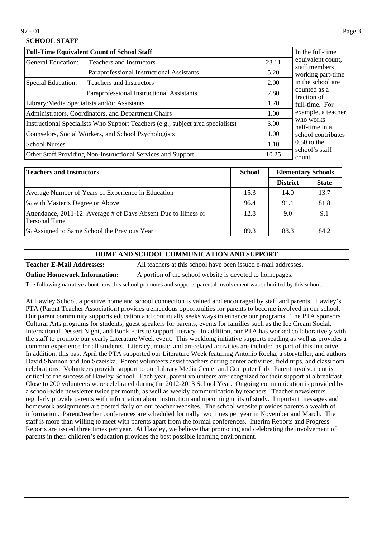## **SCHOOL STAFF**

| <b>Full-Time Equivalent Count of School Staff</b>            | In the full-time                                                                |                          |                                                   |
|--------------------------------------------------------------|---------------------------------------------------------------------------------|--------------------------|---------------------------------------------------|
| General Education:                                           | <b>Teachers and Instructors</b>                                                 | 23.11                    | equivalent count,<br>staff members                |
|                                                              | Paraprofessional Instructional Assistants                                       | 5.20                     | working part-time                                 |
| Special Education:                                           | <b>Teachers and Instructors</b>                                                 | 2.00                     | in the school are                                 |
|                                                              | Paraprofessional Instructional Assistants                                       | 7.80                     | counted as a<br>fraction of                       |
|                                                              | Library/Media Specialists and/or Assistants                                     | 1.70                     | full-time. For                                    |
|                                                              | Administrators, Coordinators, and Department Chairs                             | 1.00                     | example, a teacher<br>who works<br>half-time in a |
|                                                              | Instructional Specialists Who Support Teachers (e.g., subject area specialists) | 3.00                     |                                                   |
|                                                              | Counselors, Social Workers, and School Psychologists                            | 1.00                     | school contributes                                |
| <b>School Nurses</b>                                         | 1.10                                                                            | $0.50$ to the            |                                                   |
| Other Staff Providing Non-Instructional Services and Support | 10.25                                                                           | school's staff<br>count. |                                                   |

| <b>Teachers and Instructors</b>                                                  | <b>School</b> | <b>Elementary Schools</b> |              |
|----------------------------------------------------------------------------------|---------------|---------------------------|--------------|
|                                                                                  |               | <b>District</b>           | <b>State</b> |
| Average Number of Years of Experience in Education                               | 15.3          | 14.0                      | 13.7         |
| % with Master's Degree or Above                                                  | 96.4          | 91.1                      | 81.8         |
| Attendance, 2011-12: Average # of Days Absent Due to Illness or<br>Personal Time | 12.8          | 9.0                       | 9.1          |
| <sup>9</sup> % Assigned to Same School the Previous Year                         | 89.3          | 88.3                      | 84.2         |

#### **HOME AND SCHOOL COMMUNICATION AND SUPPORT**

**Teacher E-Mail Addresses:** All teachers at this school have been issued e-mail addresses. **Online Homework Information:** A portion of the school website is devoted to homepages.

The following narrative about how this school promotes and supports parental involvement was submitted by this school.

At Hawley School, a positive home and school connection is valued and encouraged by staff and parents. Hawley's PTA (Parent Teacher Association) provides tremendous opportunities for parents to become involved in our school. Our parent community supports education and continually seeks ways to enhance our programs. The PTA sponsors Cultural Arts programs for students, guest speakers for parents, events for families such as the Ice Cream Social, International Dessert Night, and Book Fairs to support literacy. In addition, our PTA has worked collaboratively with the staff to promote our yearly Literature Week event. This weeklong initiative supports reading as well as provides a common experience for all students. Literacy, music, and art-related activities are included as part of this initiative. In addition, this past April the PTA supported our Literature Week featuring Antonio Rocha, a storyteller, and authors David Shannon and Jon Sczeiska. Parent volunteers assist teachers during center activities, field trips, and classroom celebrations. Volunteers provide support to our Library Media Center and Computer Lab. Parent involvement is critical to the success of Hawley School. Each year, parent volunteers are recognized for their support at a breakfast. Close to 200 volunteers were celebrated during the 2012-2013 School Year. Ongoing communication is provided by a school-wide newsletter twice per month, as well as weekly communication by teachers. Teacher newsletters regularly provide parents with information about instruction and upcoming units of study. Important messages and homework assignments are posted daily on our teacher websites. The school website provides parents a wealth of information. Parent/teacher conferences are scheduled formally two times per year in November and March. The staff is more than willing to meet with parents apart from the formal conferences. Interim Reports and Progress Reports are issued three times per year. At Hawley, we believe that promoting and celebrating the involvement of parents in their children's education provides the best possible learning environment.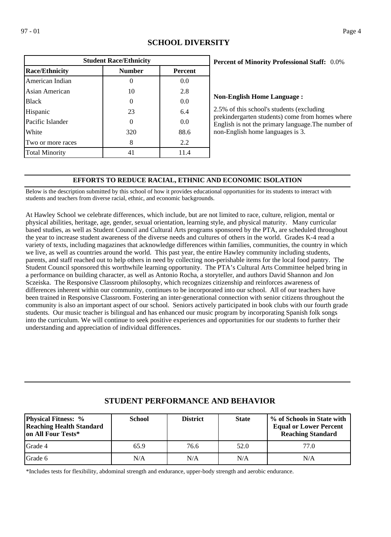| <b>Student Race/Ethnicity</b> |               |                |  |  |  |
|-------------------------------|---------------|----------------|--|--|--|
| <b>Race/Ethnicity</b>         | <b>Number</b> | <b>Percent</b> |  |  |  |
| American Indian               |               | 0.0            |  |  |  |
| Asian American                | 10            | 2.8            |  |  |  |
| <b>Black</b>                  |               | 0.0            |  |  |  |
| Hispanic                      | 23            | 6.4            |  |  |  |
| Pacific Islander              |               | 0.0            |  |  |  |
| White                         | 320           | 88.6           |  |  |  |
| Two or more races             | 8             | 2.2            |  |  |  |
| <b>Total Minority</b>         | 41            | 11.4           |  |  |  |

# **SCHOOL DIVERSITY**

### 0.0% **Percent of Minority Professional Staff:**

#### **Non-English Home Language :**

2.5% of this school's students (excluding prekindergarten students) come from homes where English is not the primary language.The number of non-English home languages is 3.

## **EFFORTS TO REDUCE RACIAL, ETHNIC AND ECONOMIC ISOLATION**

Below is the description submitted by this school of how it provides educational opportunities for its students to interact with students and teachers from diverse racial, ethnic, and economic backgrounds.

At Hawley School we celebrate differences, which include, but are not limited to race, culture, religion, mental or physical abilities, heritage, age, gender, sexual orientation, learning style, and physical maturity. Many curricular based studies, as well as Student Council and Cultural Arts programs sponsored by the PTA, are scheduled throughout the year to increase student awareness of the diverse needs and cultures of others in the world. Grades K-4 read a variety of texts, including magazines that acknowledge differences within families, communities, the country in which we live, as well as countries around the world. This past year, the entire Hawley community including students, parents, and staff reached out to help others in need by collecting non-perishable items for the local food pantry. The Student Council sponsored this worthwhile learning opportunity. The PTA's Cultural Arts Committee helped bring in a performance on building character, as well as Antonio Rocha, a storyteller, and authors David Shannon and Jon Sczeiska. The Responsive Classroom philosophy, which recognizes citizenship and reinforces awareness of differences inherent within our community, continues to be incorporated into our school. All of our teachers have been trained in Responsive Classroom. Fostering an inter-generational connection with senior citizens throughout the community is also an important aspect of our school. Seniors actively participated in book clubs with our fourth grade students. Our music teacher is bilingual and has enhanced our music program by incorporating Spanish folk songs into the curriculum. We will continue to seek positive experiences and opportunities for our students to further their understanding and appreciation of individual differences.

| <b>Physical Fitness: %</b><br><b>Reaching Health Standard</b><br>on All Four Tests* | <b>School</b> | <b>District</b> | <b>State</b> | % of Schools in State with<br><b>Equal or Lower Percent</b><br><b>Reaching Standard</b> |
|-------------------------------------------------------------------------------------|---------------|-----------------|--------------|-----------------------------------------------------------------------------------------|
| Grade 4                                                                             | 65.9          | 76.6            | 52.0         | 77.0                                                                                    |
| <b>Grade 6</b>                                                                      | N/A           | N/A             | N/A          | N/A                                                                                     |

# **STUDENT PERFORMANCE AND BEHAVIOR**

\*Includes tests for flexibility, abdominal strength and endurance, upper-body strength and aerobic endurance.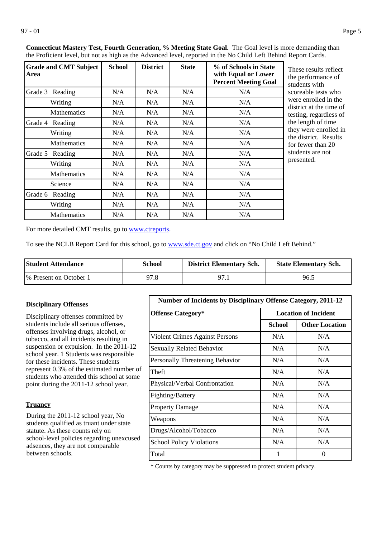| <b>Grade and CMT Subject</b><br>Area | <b>School</b> | <b>District</b> | <b>State</b> | % of Schools in State<br>with Equal or Lower<br><b>Percent Meeting Goal</b> | These results reflect<br>the performance of<br>students with |
|--------------------------------------|---------------|-----------------|--------------|-----------------------------------------------------------------------------|--------------------------------------------------------------|
| Grade 3 Reading                      | N/A           | N/A             | N/A          | N/A                                                                         | scoreable tests who                                          |
| Writing                              | N/A           | N/A             | N/A          | N/A                                                                         | were enrolled in the                                         |
| <b>Mathematics</b>                   | N/A           | N/A             | N/A          | N/A                                                                         | district at the time of<br>testing, regardless of            |
| Grade 4<br>Reading                   | N/A           | N/A             | N/A          | N/A                                                                         | the length of time                                           |
| Writing                              | N/A           | N/A             | N/A          | N/A                                                                         | they were enrolled in<br>the district. Results               |
| <b>Mathematics</b>                   | N/A           | N/A             | N/A          | N/A                                                                         | for fewer than 20                                            |
| Grade 5<br>Reading                   | N/A           | N/A             | N/A          | N/A                                                                         | students are not                                             |
| Writing                              | N/A           | N/A             | N/A          | N/A                                                                         | presented.                                                   |
| <b>Mathematics</b>                   | N/A           | N/A             | N/A          | N/A                                                                         |                                                              |
| Science                              | N/A           | N/A             | N/A          | N/A                                                                         |                                                              |
| Grade 6 Reading                      | N/A           | N/A             | N/A          | N/A                                                                         |                                                              |
| Writing                              | N/A           | N/A             | N/A          | N/A                                                                         |                                                              |
| <b>Mathematics</b>                   | N/A           | N/A             | N/A          | N/A                                                                         |                                                              |

**Connecticut Mastery Test, Fourth Generation, % Meeting State Goal.** The Goal level is more demanding than the Proficient level, but not as high as the Advanced level, reported in the No Child Left Behind Report Cards.

For more detailed CMT results, go to **[www.ctreports](http://www.ctreports/)**.

To see the NCLB Report Card for this school, go to [www.sde.ct.gov](http://www.sde.ct.gov/) and click on "No Child Left Behind."

| <b>Student Attendance</b> | School | <b>District Elementary Sch.</b> | <b>State Elementary Sch.</b> |
|---------------------------|--------|---------------------------------|------------------------------|
| 1\% Present on October 1  | 97.8   | റ7                              | 96.5                         |

### **Disciplinary Offenses**

Disciplinary offenses committed by students include all serious offenses, offenses involving drugs, alcohol, or tobacco, and all incidents resulting in suspension or expulsion. In the 2011-12 school year. 1 Students was responsible for these incidents. These students represent 0.3% of the estimated number of students who attended this school at some point during the 2011-12 school year.

#### **Truancy**

During the 2011-12 school year, No students qualified as truant under state statute. As these counts rely on school-level policies regarding unexcused adsences, they are not comparable between schools.

| Number of Incidents by Disciplinary Offense Category, 2011-12 |                             |                       |
|---------------------------------------------------------------|-----------------------------|-----------------------|
| <b>Offense Category*</b>                                      | <b>Location of Incident</b> |                       |
|                                                               | School                      | <b>Other Location</b> |
| Violent Crimes Against Persons                                | N/A                         | N/A                   |
| <b>Sexually Related Behavior</b>                              | N/A                         | N/A                   |
| Personally Threatening Behavior                               | N/A                         | N/A                   |
| Theft                                                         | N/A                         | N/A                   |
| Physical/Verbal Confrontation                                 | N/A                         | N/A                   |
| Fighting/Battery                                              | N/A                         | N/A                   |
| <b>Property Damage</b>                                        | N/A                         | N/A                   |
| Weapons                                                       | N/A                         | N/A                   |
| Drugs/Alcohol/Tobacco                                         | N/A                         | N/A                   |
| <b>School Policy Violations</b>                               | N/A                         | N/A                   |
| Total                                                         | 1                           | 0                     |

\* Counts by category may be suppressed to protect student privacy.